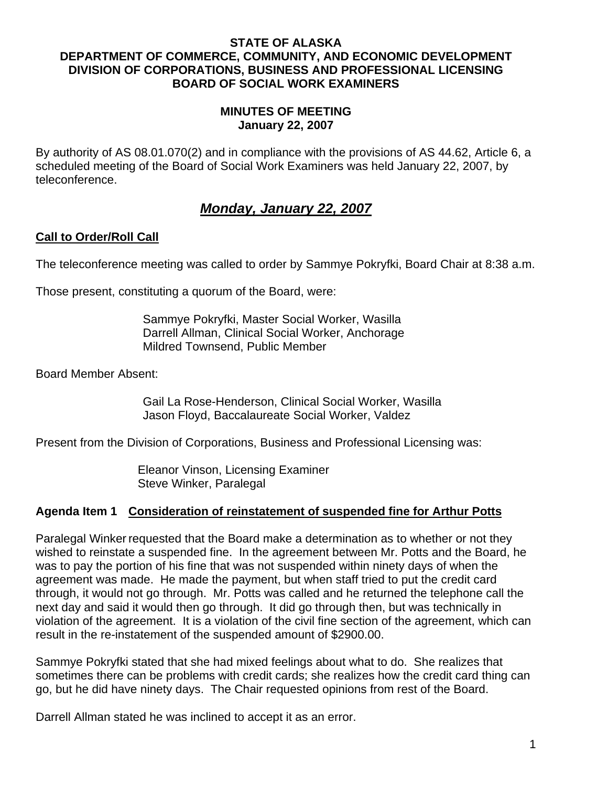#### **STATE OF ALASKA DEPARTMENT OF COMMERCE, COMMUNITY, AND ECONOMIC DEVELOPMENT DIVISION OF CORPORATIONS, BUSINESS AND PROFESSIONAL LICENSING BOARD OF SOCIAL WORK EXAMINERS**

#### **MINUTES OF MEETING January 22, 2007**

By authority of AS 08.01.070(2) and in compliance with the provisions of AS 44.62, Article 6, a scheduled meeting of the Board of Social Work Examiners was held January 22, 2007, by teleconference.

# *Monday, January 22, 2007*

## **Call to Order/Roll Call**

The teleconference meeting was called to order by Sammye Pokryfki, Board Chair at 8:38 a.m.

Those present, constituting a quorum of the Board, were:

Sammye Pokryfki, Master Social Worker, Wasilla Darrell Allman, Clinical Social Worker, Anchorage Mildred Townsend, Public Member

Board Member Absent:

Gail La Rose-Henderson, Clinical Social Worker, Wasilla Jason Floyd, Baccalaureate Social Worker, Valdez

Present from the Division of Corporations, Business and Professional Licensing was:

Eleanor Vinson, Licensing Examiner Steve Winker, Paralegal

## **Agenda Item 1 Consideration of reinstatement of suspended fine for Arthur Potts**

Paralegal Winker requested that the Board make a determination as to whether or not they wished to reinstate a suspended fine. In the agreement between Mr. Potts and the Board, he was to pay the portion of his fine that was not suspended within ninety days of when the agreement was made. He made the payment, but when staff tried to put the credit card through, it would not go through. Mr. Potts was called and he returned the telephone call the next day and said it would then go through. It did go through then, but was technically in violation of the agreement. It is a violation of the civil fine section of the agreement, which can result in the re-instatement of the suspended amount of \$2900.00.

Sammye Pokryfki stated that she had mixed feelings about what to do. She realizes that sometimes there can be problems with credit cards; she realizes how the credit card thing can go, but he did have ninety days. The Chair requested opinions from rest of the Board.

Darrell Allman stated he was inclined to accept it as an error.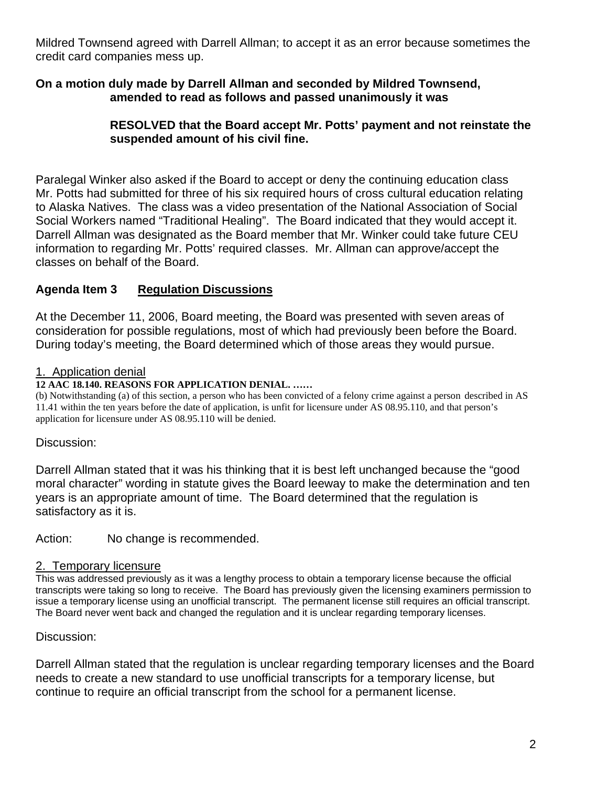Mildred Townsend agreed with Darrell Allman; to accept it as an error because sometimes the credit card companies mess up.

## **On a motion duly made by Darrell Allman and seconded by Mildred Townsend, amended to read as follows and passed unanimously it was**

## **RESOLVED that the Board accept Mr. Potts' payment and not reinstate the suspended amount of his civil fine.**

Paralegal Winker also asked if the Board to accept or deny the continuing education class Mr. Potts had submitted for three of his six required hours of cross cultural education relating to Alaska Natives. The class was a video presentation of the National Association of Social Social Workers named "Traditional Healing". The Board indicated that they would accept it. Darrell Allman was designated as the Board member that Mr. Winker could take future CEU information to regarding Mr. Potts' required classes. Mr. Allman can approve/accept the classes on behalf of the Board.

## **Agenda Item 3 Regulation Discussions**

At the December 11, 2006, Board meeting, the Board was presented with seven areas of consideration for possible regulations, most of which had previously been before the Board. During today's meeting, the Board determined which of those areas they would pursue.

## 1. Application denial

## **12 AAC 18.140. REASONS FOR APPLICATION DENIAL. ……**

(b) Notwithstanding (a) of this section, a person who has been convicted of a felony crime against a person described in AS 11.41 within the ten years before the date of application, is unfit for licensure under AS 08.95.110, and that person's application for licensure under AS 08.95.110 will be denied.

## Discussion:

Darrell Allman stated that it was his thinking that it is best left unchanged because the "good moral character" wording in statute gives the Board leeway to make the determination and ten years is an appropriate amount of time. The Board determined that the regulation is satisfactory as it is.

Action: No change is recommended.

## 2. Temporary licensure

This was addressed previously as it was a lengthy process to obtain a temporary license because the official transcripts were taking so long to receive. The Board has previously given the licensing examiners permission to issue a temporary license using an unofficial transcript. The permanent license still requires an official transcript. The Board never went back and changed the regulation and it is unclear regarding temporary licenses.

## Discussion:

Darrell Allman stated that the regulation is unclear regarding temporary licenses and the Board needs to create a new standard to use unofficial transcripts for a temporary license, but continue to require an official transcript from the school for a permanent license.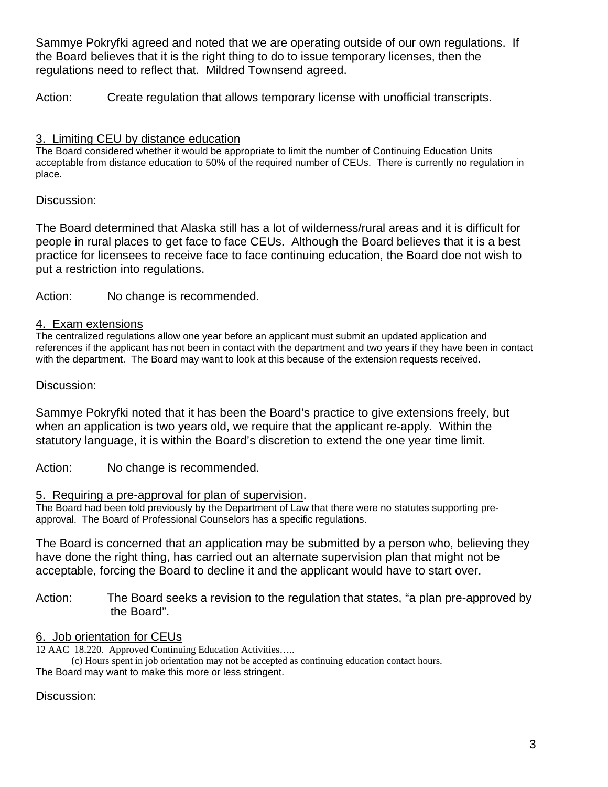Sammye Pokryfki agreed and noted that we are operating outside of our own regulations. If the Board believes that it is the right thing to do to issue temporary licenses, then the regulations need to reflect that. Mildred Townsend agreed.

Action: Create regulation that allows temporary license with unofficial transcripts.

## 3. Limiting CEU by distance education

The Board considered whether it would be appropriate to limit the number of Continuing Education Units acceptable from distance education to 50% of the required number of CEUs. There is currently no regulation in place.

Discussion:

The Board determined that Alaska still has a lot of wilderness/rural areas and it is difficult for people in rural places to get face to face CEUs. Although the Board believes that it is a best practice for licensees to receive face to face continuing education, the Board doe not wish to put a restriction into regulations.

Action: No change is recommended.

## 4. Exam extensions

The centralized regulations allow one year before an applicant must submit an updated application and references if the applicant has not been in contact with the department and two years if they have been in contact with the department. The Board may want to look at this because of the extension requests received.

Discussion:

Sammye Pokryfki noted that it has been the Board's practice to give extensions freely, but when an application is two years old, we require that the applicant re-apply. Within the statutory language, it is within the Board's discretion to extend the one year time limit.

Action: No change is recommended.

5. Requiring a pre-approval for plan of supervision.<br>The Board had been told previously by the Department of Law that there were no statutes supporting preapproval. The Board of Professional Counselors has a specific regulations.

The Board is concerned that an application may be submitted by a person who, believing they have done the right thing, has carried out an alternate supervision plan that might not be acceptable, forcing the Board to decline it and the applicant would have to start over.

Action: The Board seeks a revision to the regulation that states, "a plan pre-approved by the Board".

## 6. Job orientation for CEUs

12 AAC 18.220. Approved Continuing Education Activities…..

(c) Hours spent in job orientation may not be accepted as continuing education contact hours. The Board may want to make this more or less stringent.

Discussion: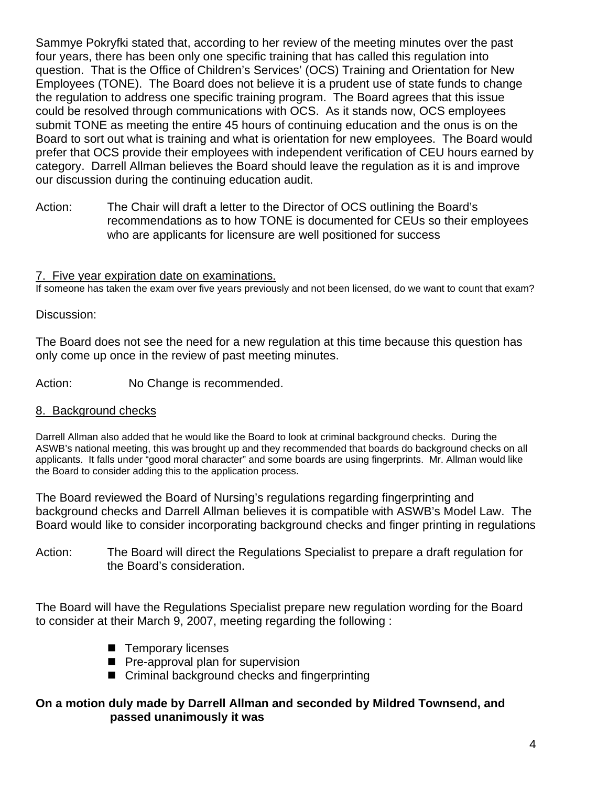Sammye Pokryfki stated that, according to her review of the meeting minutes over the past four years, there has been only one specific training that has called this regulation into question. That is the Office of Children's Services' (OCS) Training and Orientation for New Employees (TONE). The Board does not believe it is a prudent use of state funds to change the regulation to address one specific training program. The Board agrees that this issue could be resolved through communications with OCS. As it stands now, OCS employees submit TONE as meeting the entire 45 hours of continuing education and the onus is on the Board to sort out what is training and what is orientation for new employees. The Board would prefer that OCS provide their employees with independent verification of CEU hours earned by category. Darrell Allman believes the Board should leave the regulation as it is and improve our discussion during the continuing education audit.

Action: The Chair will draft a letter to the Director of OCS outlining the Board's recommendations as to how TONE is documented for CEUs so their employees who are applicants for licensure are well positioned for success

## 7. Five year expiration date on examinations.

If someone has taken the exam over five years previously and not been licensed, do we want to count that exam?

#### Discussion:

The Board does not see the need for a new regulation at this time because this question has only come up once in the review of past meeting minutes.

Action: No Change is recommended.

#### 8. Background checks

Darrell Allman also added that he would like the Board to look at criminal background checks. During the ASWB's national meeting, this was brought up and they recommended that boards do background checks on all applicants. It falls under "good moral character" and some boards are using fingerprints. Mr. Allman would like the Board to consider adding this to the application process.

The Board reviewed the Board of Nursing's regulations regarding fingerprinting and background checks and Darrell Allman believes it is compatible with ASWB's Model Law. The Board would like to consider incorporating background checks and finger printing in regulations

Action: The Board will direct the Regulations Specialist to prepare a draft regulation for the Board's consideration.

The Board will have the Regulations Specialist prepare new regulation wording for the Board to consider at their March 9, 2007, meeting regarding the following :

- Temporary licenses
- **Pe-approval plan for supervision**
- Criminal background checks and fingerprinting

## **On a motion duly made by Darrell Allman and seconded by Mildred Townsend, and passed unanimously it was**